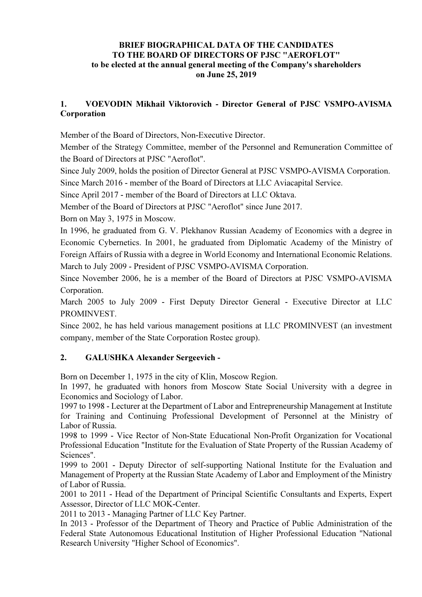#### BRIEF BIOGRAPHICAL DATA OF THE CANDIDATES TO THE BOARD OF DIRECTORS OF PJSC "AEROFLOT" to be elected at the annual general meeting of the Company's shareholders on June 25, 2019

### 1. VOEVODIN Mikhail Viktorovich - Director General of PJSC VSMPO-AVISMA Corporation

Member of the Board of Directors, Non-Executive Director.

Member of the Strategy Committee, member of the Personnel and Remuneration Committee of the Board of Directors at PJSC "Aeroflot".

Since July 2009, holds the position of Director General at PJSC VSMPO-AVISMA Corporation. Since March 2016 - member of the Board of Directors at LLC Aviacapital Service.

Since April 2017 - member of the Board of Directors at LLC Oktava.

Member of the Board of Directors at PJSC "Aeroflot" since June 2017.

Born on May 3, 1975 in Moscow.

In 1996, he graduated from G. V. Plekhanov Russian Academy of Economics with a degree in Economic Cybernetics. In 2001, he graduated from Diplomatic Academy of the Ministry of Foreign Affairs of Russia with a degree in World Economy and International Economic Relations. March to July 2009 - President of PJSC VSMPO-AVISMA Corporation.

Since November 2006, he is a member of the Board of Directors at PJSC VSMPO-AVISMA Corporation.

March 2005 to July 2009 - First Deputy Director General - Executive Director at LLC PROMINVEST.

Since 2002, he has held various management positions at LLC PROMINVEST (an investment company, member of the State Corporation Rostec group).

### 2. GALUSHKA Alexander Sergeevich -

Born on December 1, 1975 in the city of Klin, Moscow Region.

In 1997, he graduated with honors from Moscow State Social University with a degree in Economics and Sociology of Labor.

1997 to 1998 - Lecturer at the Department of Labor and Entrepreneurship Management at Institute for Training and Continuing Professional Development of Personnel at the Ministry of Labor of Russia.

1998 to 1999 - Vice Rector of Non-State Educational Non-Profit Organization for Vocational Professional Education "Institute for the Evaluation of State Property of the Russian Academy of Sciences".

1999 to 2001 - Deputy Director of self-supporting National Institute for the Evaluation and Management of Property at the Russian State Academy of Labor and Employment of the Ministry of Labor of Russia.

2001 to 2011 - Head of the Department of Principal Scientific Consultants and Experts, Expert Assessor, Director of LLC MOK-Center.

2011 to 2013 - Managing Partner of LLC Key Partner.

In 2013 - Professor of the Department of Theory and Practice of Public Administration of the Federal State Autonomous Educational Institution of Higher Professional Education "National Research University "Higher School of Economics".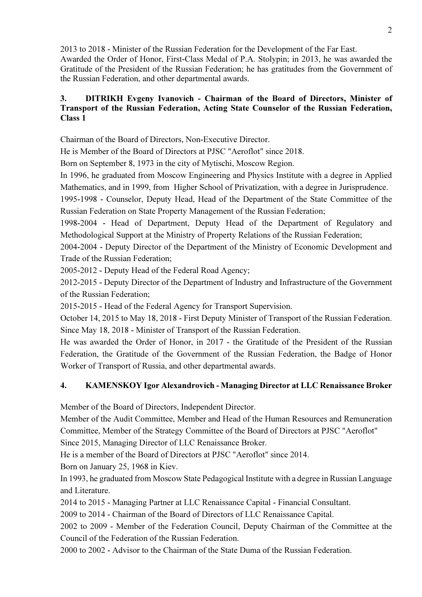2013 to 2018 - Minister of the Russian Federation for the Development of the Far East.

Awarded the Order of Honor, First-Class Medal of P.A. Stolypin; in 2013, he was awarded the Gratitude of the President of the Russian Federation; he has gratitudes from the Government of the Russian Federation, and other departmental awards.

### 3. DITRIKH Evgeny Ivanovich - Chairman of the Board of Directors, Minister of Transport of the Russian Federation, Acting State Counselor of the Russian Federation, Class 1

Chairman of the Board of Directors, Non-Executive Director.

He is Member of the Board of Directors at PJSC "Aeroflot" since 2018.

Born on September 8, 1973 in the city of Mytischi, Moscow Region.

In 1996, he graduated from Moscow Engineering and Physics Institute with a degree in Applied Mathematics, and in 1999, from Higher School of Privatization, with a degree in Jurisprudence.

1995-1998 - Counselor, Deputy Head, Head of the Department of the State Committee of the Russian Federation on State Property Management of the Russian Federation;

1998-2004 - Head of Department, Deputy Head of the Department of Regulatory and Methodological Support at the Ministry of Property Relations of the Russian Federation;

2004-2004 - Deputy Director of the Department of the Ministry of Economic Development and Trade of the Russian Federation;

2005-2012 - Deputy Head of the Federal Road Agency;

2012-2015 - Deputy Director of the Department of Industry and Infrastructure of the Government of the Russian Federation;

2015-2015 - Head of the Federal Agency for Transport Supervision.

October 14, 2015 to May 18, 2018 - First Deputy Minister of Transport of the Russian Federation. Since May 18, 2018 - Minister of Transport of the Russian Federation.

He was awarded the Order of Honor, in 2017 - the Gratitude of the President of the Russian Federation, the Gratitude of the Government of the Russian Federation, the Badge of Honor Worker of Transport of Russia, and other departmental awards.

# 4. KAMENSKOY Igor Alexandrovich - Managing Director at LLC Renaissance Broker

Member of the Board of Directors, Independent Director.

Member of the Audit Committee, Member and Head of the Human Resources and Remuneration Committee, Member of the Strategy Committee of the Board of Directors at PJSC "Aeroflot" Since 2015, Managing Director of LLC Renaissance Broker.

He is a member of the Board of Directors at PJSC "Aeroflot" since 2014.

Born on January 25, 1968 in Kiev.

In 1993, he graduated from Moscow State Pedagogical Institute with a degree in Russian Language and Literature.

2014 to 2015 - Managing Partner at LLC Renaissance Capital - Financial Consultant.

2009 to 2014 - Chairman of the Board of Directors of LLC Renaissance Capital.

2002 to 2009 - Member of the Federation Council, Deputy Chairman of the Committee at the Council of the Federation of the Russian Federation.

2000 to 2002 - Advisor to the Chairman of the State Duma of the Russian Federation.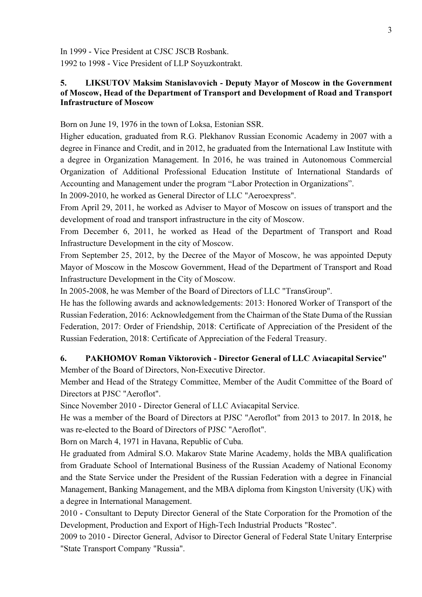In 1999 - Vice President at CJSC JSCB Rosbank.

1992 to 1998 - Vice President of LLP Soyuzkontrakt.

#### 5. LIKSUTOV Maksim Stanislavovich - Deputy Mayor of Moscow in the Government of Moscow, Head of the Department of Transport and Development of Road and Transport Infrastructure of Moscow

Born on June 19, 1976 in the town of Loksa, Estonian SSR.

Higher education, graduated from R.G. Plekhanov Russian Economic Academy in 2007 with a degree in Finance and Credit, and in 2012, he graduated from the International Law Institute with a degree in Organization Management. In 2016, he was trained in Autonomous Commercial Organization of Additional Professional Education Institute of International Standards of Accounting and Management under the program "Labor Protection in Organizations".

In 2009-2010, he worked as General Director of LLC "Aeroexpress".

From April 29, 2011, he worked as Adviser to Mayor of Moscow on issues of transport and the development of road and transport infrastructure in the city of Moscow.

From December 6, 2011, he worked as Head of the Department of Transport and Road Infrastructure Development in the city of Moscow.

From September 25, 2012, by the Decree of the Mayor of Moscow, he was appointed Deputy Mayor of Moscow in the Moscow Government, Head of the Department of Transport and Road Infrastructure Development in the City of Moscow.

In 2005-2008, he was Member of the Board of Directors of LLC "TransGroup".

He has the following awards and acknowledgements: 2013: Honored Worker of Transport of the Russian Federation, 2016: Acknowledgement from the Chairman of the State Duma of the Russian Federation, 2017: Order of Friendship, 2018: Certificate of Appreciation of the President of the Russian Federation, 2018: Certificate of Appreciation of the Federal Treasury.

### 6. PAKHOMOV Roman Viktorovich - Director General of LLC Aviacapital Service"

Member of the Board of Directors, Non-Executive Director.

Member and Head of the Strategy Committee, Member of the Audit Committee of the Board of Directors at PJSC "Aeroflot".

Since November 2010 - Director General of LLC Aviacapital Service.

He was a member of the Board of Directors at PJSC "Aeroflot" from 2013 to 2017. In 2018, he was re-elected to the Board of Directors of PJSC "Aeroflot".

Born on March 4, 1971 in Havana, Republic of Cuba.

He graduated from Admiral S.О. Makarov State Marine Academy, holds the MBA qualification from Graduate School of International Business of the Russian Academy of National Economy and the State Service under the President of the Russian Federation with a degree in Financial Management, Banking Management, and the MBA diploma from Kingston University (UK) with a degree in International Management.

2010 - Consultant to Deputy Director General of the State Corporation for the Promotion of the Development, Production and Export of High-Tech Industrial Products "Rostec".

2009 to 2010 - Director General, Advisor to Director General of Federal State Unitary Enterprise "State Transport Company "Russia".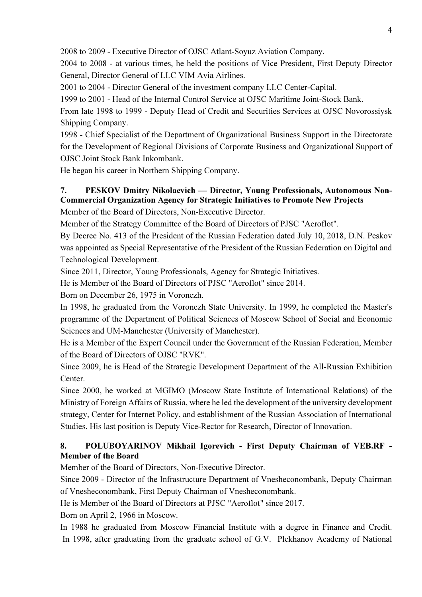2008 to 2009 - Executive Director of OJSC Atlant-Soyuz Aviation Company.

2004 to 2008 - at various times, he held the positions of Vice President, First Deputy Director General, Director General of LLC VIM Avia Airlines.

2001 to 2004 - Director General of the investment company LLC Center-Capital.

1999 to 2001 - Head of the Internal Control Service at OJSC Maritime Joint-Stock Bank.

From late 1998 to 1999 - Deputy Head of Credit and Securities Services at OJSC Novorossiysk Shipping Company.

1998 - Chief Specialist of the Department of Organizational Business Support in the Directorate for the Development of Regional Divisions of Corporate Business and Organizational Support of OJSC Joint Stock Bank Inkombank.

He began his career in Northern Shipping Company.

# 7. PESKOV Dmitry Nikolaevich — Director, Young Professionals, Autonomous Non-Commercial Organization Agency for Strategic Initiatives to Promote New Projects

Member of the Board of Directors, Non-Executive Director.

Member of the Strategy Committee of the Board of Directors of PJSC "Aeroflot".

By Decree No. 413 of the President of the Russian Federation dated July 10, 2018, D.N. Peskov was appointed as Special Representative of the President of the Russian Federation on Digital and Technological Development.

Since 2011, Director, Young Professionals, Agency for Strategic Initiatives.

He is Member of the Board of Directors of PJSC "Aeroflot" since 2014.

Born on December 26, 1975 in Voronezh.

In 1998, he graduated from the Voronezh State University. In 1999, he completed the Master's programme of the Department of Political Sciences of Moscow School of Social and Economic Sciences and UM-Manchester (University of Manchester).

He is a Member of the Expert Council under the Government of the Russian Federation, Member of the Board of Directors of OJSC "RVK".

Since 2009, he is Head of the Strategic Development Department of the All-Russian Exhibition Center.

Since 2000, he worked at MGIMO (Moscow State Institute of International Relations) of the Ministry of Foreign Affairs of Russia, where he led the development of the university development strategy, Center for Internet Policy, and establishment of the Russian Association of International Studies. His last position is Deputy Vice-Rector for Research, Director of Innovation.

# 8. POLUBOYARINOV Mikhail Igorevich - First Deputy Chairman of VEB.RF - Member of the Board

Member of the Board of Directors, Non-Executive Director.

Since 2009 - Director of the Infrastructure Department of Vnesheconombank, Deputy Chairman of Vnesheconombank, First Deputy Chairman of Vnesheconombank.

He is Member of the Board of Directors at PJSC "Aeroflot" since 2017.

Born on April 2, 1966 in Moscow.

In 1988 he graduated from Moscow Financial Institute with a degree in Finance and Credit. In 1998, after graduating from the graduate school of G.V. Plekhanov Academy of National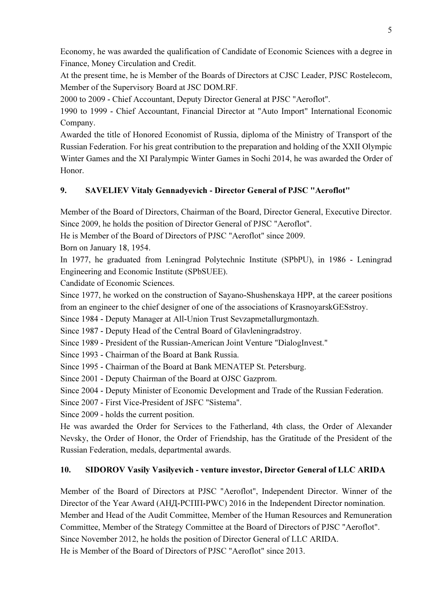Economy, he was awarded the qualification of Candidate of Economic Sciences with a degree in Finance, Money Circulation and Credit.

At the present time, he is Member of the Boards of Directors at CJSC Leader, PJSC Rostelecom, Member of the Supervisory Board at JSC DOM.RF.

2000 to 2009 - Chief Accountant, Deputy Director General at PJSC "Aeroflot".

1990 to 1999 - Chief Accountant, Financial Director at "Auto Import" International Economic Company.

Awarded the title of Honored Economist of Russia, diploma of the Ministry of Transport of the Russian Federation. For his great contribution to the preparation and holding of the XXII Olympic Winter Games and the XI Paralympic Winter Games in Sochi 2014, he was awarded the Order of Honor.

## 9. SAVELIEV Vitaly Gennadyevich - Director General of PJSC "Aeroflot"

Member of the Board of Directors, Chairman of the Board, Director General, Executive Director. Since 2009, he holds the position of Director General of PJSC "Aeroflot".

He is Member of the Board of Directors of PJSC "Aeroflot" since 2009.

Born on January 18, 1954.

In 1977, he graduated from Leningrad Polytechnic Institute (SPbPU), in 1986 - Leningrad Engineering and Economic Institute (SPbSUEE).

Candidate of Economic Sciences.

Since 1977, he worked on the construction of Sayano-Shushenskaya HPP, at the career positions from an engineer to the chief designer of one of the associations of KrasnoyarskGESstroy.

Since 1984 - Deputy Manager at All-Union Trust Sevzapmetallurgmontazh.

Since 1987 - Deputy Head of the Central Board of Glavleningradstroy.

Since 1989 - President of the Russian-American Joint Venture "DialogInvest."

Since 1993 - Chairman of the Board at Bank Russia.

Since 1995 - Chairman of the Board at Bank MENATEP St. Petersburg.

Since 2001 - Deputy Chairman of the Board at OJSC Gazprom.

Since 2004 - Deputy Minister of Economic Development and Trade of the Russian Federation.

Since 2007 - First Vice-President of JSFC "Sistema".

Since 2009 - holds the current position.

He was awarded the Order for Services to the Fatherland, 4th class, the Order of Alexander Nevsky, the Order of Honor, the Order of Friendship, has the Gratitude of the President of the Russian Federation, medals, departmental awards.

# 10. SIDOROV Vasily Vasilyevich - venture investor, Director General of LLC ARIDA

Member of the Board of Directors at PJSC "Aeroflot", Independent Director. Winner of the Director of the Year Award (АНД-РСПП-PWC) 2016 in the Independent Director nomination. Member and Head of the Audit Committee, Member of the Human Resources and Remuneration Committee, Member of the Strategy Committee at the Board of Directors of PJSC "Aeroflot". Since November 2012, he holds the position of Director General of LLC ARIDA. He is Member of the Board of Directors of PJSC "Aeroflot" since 2013.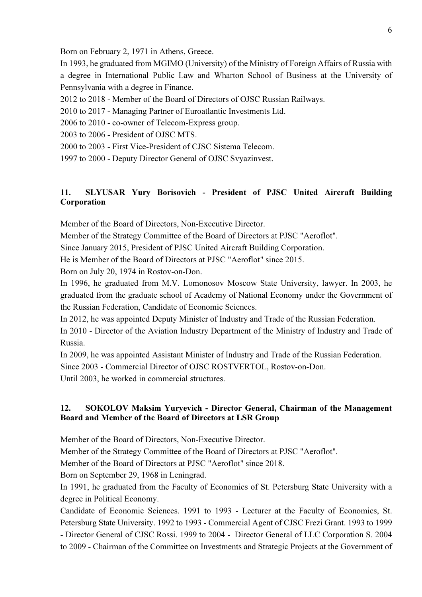Born on February 2, 1971 in Athens, Greece.

In 1993, he graduated from MGIMO (University) of the Ministry of Foreign Affairs of Russia with a degree in International Public Law and Wharton School of Business at the University of Pennsylvania with a degree in Finance.

- 2012 to 2018 Member of the Board of Directors of OJSC Russian Railways.
- 2010 to 2017 Managing Partner of Euroatlantic Investments Ltd.
- 2006 to 2010 co-owner of Telecom-Express group.
- 2003 to 2006 President of OJSC MTS.
- 2000 to 2003 First Vice-President of CJSC Sistema Telecom.
- 1997 to 2000 Deputy Director General of OJSC Svyazinvest.

### 11. SLYUSAR Yury Borisovich - President of PJSC United Aircraft Building Corporation

Member of the Board of Directors, Non-Executive Director.

Member of the Strategy Committee of the Board of Directors at PJSC "Aeroflot".

Since January 2015, President of PJSC United Aircraft Building Corporation.

He is Member of the Board of Directors at PJSC "Aeroflot" since 2015.

Born on July 20, 1974 in Rostov-on-Don.

In 1996, he graduated from M.V. Lomonosov Moscow State University, lawyer. In 2003, he graduated from the graduate school of Academy of National Economy under the Government of the Russian Federation, Candidate of Economic Sciences.

In 2012, he was appointed Deputy Minister of Industry and Trade of the Russian Federation.

In 2010 - Director of the Aviation Industry Department of the Ministry of Industry and Trade of Russia.

In 2009, he was appointed Assistant Minister of Industry and Trade of the Russian Federation. Since 2003 - Commercial Director of OJSC ROSTVERTOL, Rostov-on-Don.

Until 2003, he worked in commercial structures.

### 12. SOKOLOV Maksim Yuryevich - Director General, Chairman of the Management Board and Member of the Board of Directors at LSR Group

Member of the Board of Directors, Non-Executive Director.

Member of the Strategy Committee of the Board of Directors at PJSC "Aeroflot".

Member of the Board of Directors at PJSC "Aeroflot" since 2018.

Born on September 29, 1968 in Leningrad.

In 1991, he graduated from the Faculty of Economics of St. Petersburg State University with a degree in Political Economy.

Candidate of Economic Sciences. 1991 to 1993 - Lecturer at the Faculty of Economics, St. Petersburg State University. 1992 to 1993 - Commercial Agent of CJSC Frezi Grant. 1993 to 1999 - Director General of CJSC Rossi. 1999 to 2004 - Director General of LLC Corporation S. 2004 to 2009 - Chairman of the Committee on Investments and Strategic Projects at the Government of